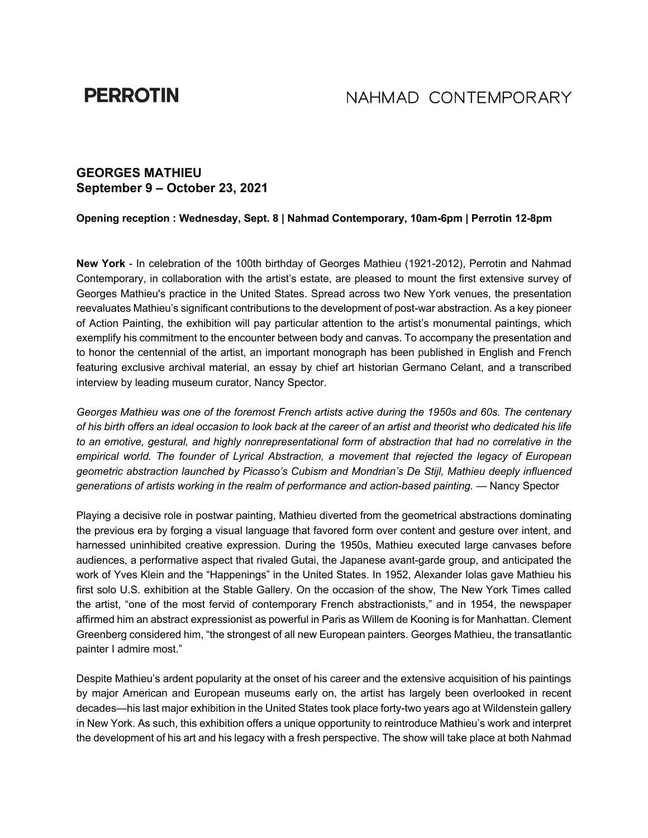# **PERROTIN**

# NAHMAD CONTEMPORARY

## **GEORGES MATHIEU September 9 – October 23, 2021**

### **Opening reception : Wednesday, Sept. 8 | Nahmad Contemporary, 10am-6pm | Perrotin 12-8pm**

**New York** - In celebration of the 100th birthday of Georges Mathieu (1921-2012), Perrotin and Nahmad Contemporary, in collaboration with the artist's estate, are pleased to mount the first extensive survey of Georges Mathieu's practice in the United States. Spread across two New York venues, the presentation reevaluates Mathieu's significant contributions to the development of post-war abstraction. As a key pioneer of Action Painting, the exhibition will pay particular attention to the artist's monumental paintings, which exemplify his commitment to the encounter between body and canvas. To accompany the presentation and to honor the centennial of the artist, an important monograph has been published in English and French featuring exclusive archival material, an essay by chief art historian Germano Celant, and a transcribed interview by leading museum curator, Nancy Spector.

*Georges Mathieu was one of the foremost French artists active during the 1950s and 60s. The centenary of his birth offers an ideal occasion to look back at the career of an artist and theorist who dedicated his life to an emotive, gestural, and highly nonrepresentational form of abstraction that had no correlative in the empirical world. The founder of Lyrical Abstraction, a movement that rejected the legacy of European geometric abstraction launched by Picasso's Cubism and Mondrian's De Stijl, Mathieu deeply influenced generations of artists working in the realm of performance and action-based painting.* — Nancy Spector

Playing a decisive role in postwar painting, Mathieu diverted from the geometrical abstractions dominating the previous era by forging a visual language that favored form over content and gesture over intent, and harnessed uninhibited creative expression. During the 1950s, Mathieu executed large canvases before audiences, a performative aspect that rivaled Gutai, the Japanese avant-garde group, and anticipated the work of Yves Klein and the "Happenings" in the United States. In 1952, Alexander Iolas gave Mathieu his first solo U.S. exhibition at the Stable Gallery. On the occasion of the show, The New York Times called the artist, "one of the most fervid of contemporary French abstractionists," and in 1954, the newspaper affirmed him an abstract expressionist as powerful in Paris as Willem de Kooning is for Manhattan. Clement Greenberg considered him, "the strongest of all new European painters. Georges Mathieu, the transatlantic painter I admire most."

Despite Mathieu's ardent popularity at the onset of his career and the extensive acquisition of his paintings by major American and European museums early on, the artist has largely been overlooked in recent decades—his last major exhibition in the United States took place forty-two years ago at Wildenstein gallery in New York. As such, this exhibition offers a unique opportunity to reintroduce Mathieu's work and interpret the development of his art and his legacy with a fresh perspective. The show will take place at both Nahmad